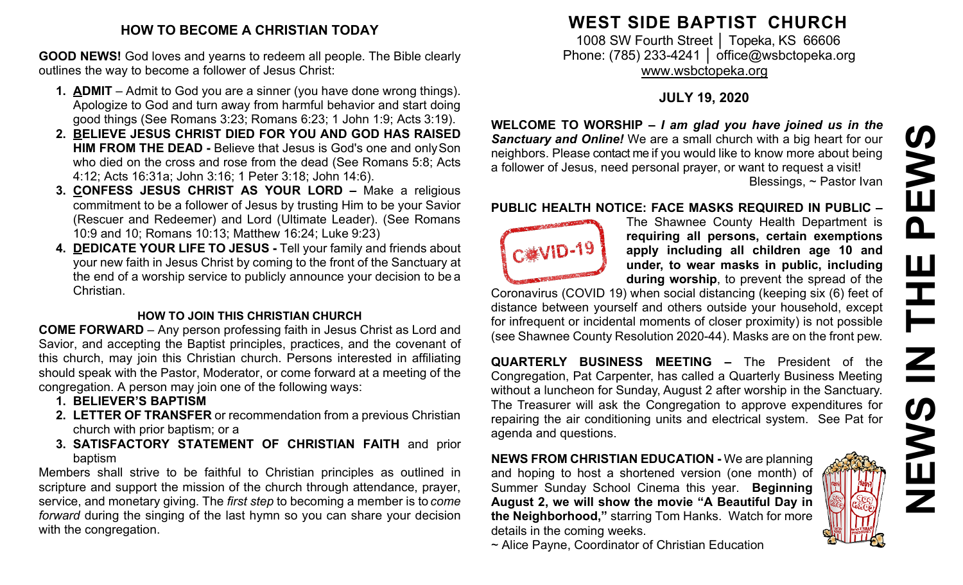### **HOW TO BECOME A CHRISTIAN TODAY**

**GOOD NEWS!** God loves and yearns to redeem all people. The Bible clearly outlines the way to become a follower of Jesus Christ:

- **1. ADMIT**  Admit to God you are a sinner (you have done wrong things). Apologize to God and turn away from harmful behavior and start doing good things (See Romans 3:23; Romans 6:23; 1 John 1:9; Acts 3:19).
- **2. BELIEVE JESUS CHRIST DIED FOR YOU AND GOD HAS RAISED HIM FROM THE DEAD -** Believe that Jesus is God's one and onlySon who died on the cross and rose from the dead (See Romans 5:8; Acts 4:12; Acts 16:31a; John 3:16; 1 Peter 3:18; John 14:6).
- **3. CONFESS JESUS CHRIST AS YOUR LORD –** Make a religious commitment to be a follower of Jesus by trusting Him to be your Savior (Rescuer and Redeemer) and Lord (Ultimate Leader). (See Romans 10:9 and 10; Romans 10:13; Matthew 16:24; Luke 9:23)
- **4. DEDICATE YOUR LIFE TO JESUS -** Tell your family and friends about your new faith in Jesus Christ by coming to the front of the Sanctuary at the end of a worship service to publicly announce your decision to be a Christian.

### **HOW TO JOIN THIS CHRISTIAN CHURCH**

**COME FORWARD** – Any person professing faith in Jesus Christ as Lord and Savior, and accepting the Baptist principles, practices, and the covenant of this church, may join this Christian church. Persons interested in affiliating should speak with the Pastor, Moderator, or come forward at a meeting of the congregation. A person may join one of the following ways:

- **1. BELIEVER'S BAPTISM**
- **2. LETTER OF TRANSFER** or recommendation from a previous Christian church with prior baptism; or a
- **3. SATISFACTORY STATEMENT OF CHRISTIAN FAITH** and prior baptism

Members shall strive to be faithful to Christian principles as outlined in scripture and support the mission of the church through attendance, prayer, service, and monetary giving. The *first step* to becoming a member is to *come forward* during the singing of the last hymn so you can share your decision with the congregation.

### **WEST SIDE BAPTIST CHURCH**

1008 SW Fourth Street | Topeka, KS 66606 Phone: (785) 233-4241 │ [office@wsbctopeka.org](mailto:office@wsbctopeka.org) [www.wsbctopeka.org](http://www.wsbctopeka.org/)

### **JULY 19, 2020**

**WELCOME TO WORSHIP –** *I am glad you have joined us in the Sanctuary and Online!* We are a small church with a big heart for our neighbors. Please contact me if you would like to know more about being a follower of Jesus, need personal prayer, or want to request a visit! Blessings, ~ Pastor Ivan

#### **PUBLIC HEALTH NOTICE: FACE MASKS REQUIRED IN PUBLIC –**



The Shawnee County Health Department is **requiring all persons, certain exemptions apply including all children age 10 and under, to wear masks in public, including during worship**, to prevent the spread of the

Coronavirus (COVID 19) when social distancing (keeping six (6) feet of distance between yourself and others outside your household, except for infrequent or incidental moments of closer proximity) is not possible (see Shawnee County Resolution 2020-44). Masks are on the front pew.

**QUARTERLY BUSINESS MEETING –** The President of the Congregation, Pat Carpenter, has called a Quarterly Business Meeting without a luncheon for Sunday, August 2 after worship in the Sanctuary. The Treasurer will ask the Congregation to approve expenditures for repairing the air conditioning units and electrical system. See Pat for agenda and questions.

**NEWS FROM CHRISTIAN EDUCATION -** We are planning and hoping to host a shortened version (one month) of Summer Sunday School Cinema this year. **Beginning August 2, we will show the movie "A Beautiful Day in the Neighborhood,"** starring Tom Hanks. Watch for more details in the coming weeks.



~ Alice Payne, Coordinator of Christian Education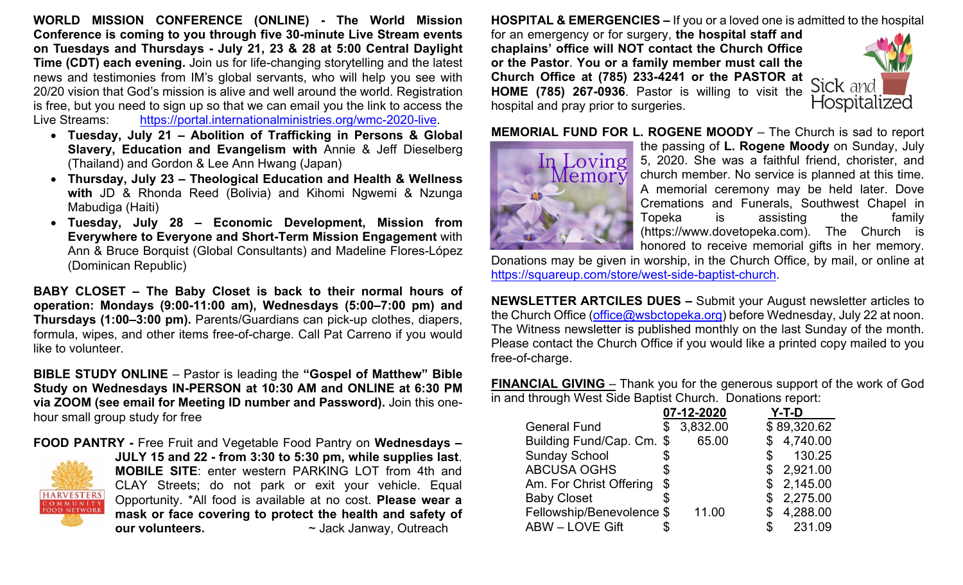**WORLD MISSION CONFERENCE (ONLINE) - The World Mission Conference is coming to you through five 30-minute Live Stream events on Tuesdays and Thursdays - July 21, 23 & 28 at 5:00 Central Daylight Time (CDT) each evening.** Join us for life-changing storytelling and the latest news and testimonies from IM's global servants, who will help you see with 20/20 vision that God's mission is alive and well around the world. Registration is free, but you need to sign up so that we can email you the link to access the Live Streams: [https://portal.internationalministries.org/wmc-2020-live.](https://portal.internationalministries.org/wmc-2020-live)

- **Tuesday, July 21 – Abolition of Trafficking in Persons & Global Slavery, Education and Evangelism with** Annie & Jeff Dieselberg (Thailand) and Gordon & Lee Ann Hwang (Japan)
- **Thursday, July 23 – Theological Education and Health & Wellness with** JD & Rhonda Reed (Bolivia) and Kihomi Ngwemi & Nzunga Mabudiga (Haiti)
- **Tuesday, July 28 – Economic Development, Mission from Everywhere to Everyone and Short-Term Mission Engagement** with Ann & Bruce Borquist (Global Consultants) and Madeline Flores-López (Dominican Republic)

**BABY CLOSET – The Baby Closet is back to their normal hours of operation: Mondays (9:00-11:00 am), Wednesdays (5:00–7:00 pm) and Thursdays (1:00–3:00 pm).** Parents/Guardians can pick-up clothes, diapers, formula, wipes, and other items free-of-charge. Call Pat Carreno if you would like to volunteer.

**BIBLE STUDY ONLINE** – Pastor is leading the **"Gospel of Matthew" Bible Study on Wednesdays IN-PERSON at 10:30 AM and ONLINE at 6:30 PM via ZOOM (see email for Meeting ID number and Password).** Join this onehour small group study for free

**FOOD PANTRY -** Free Fruit and Vegetable Food Pantry on **Wednesdays – JULY 15 and 22 - from 3:30 to 5:30 pm, while supplies last**. **MOBILE SITE**: enter western PARKING LOT from 4th and CLAY Streets; do not park or exit your vehicle. Equal **HARVESTERS** Opportunity. \*All food is available at no cost. **Please wear a**  COMMUNITY **FOOD NETWORK mask or face covering to protect the health and safety of our volunteers.**  $\sim$  Jack Janway, Outreach

**HOSPITAL & EMERGENCIES –** If you or a loved one is admitted to the hospital for an emergency or for surgery, **the hospital staff and chaplains' office will NOT contact the Church Office or the Pastor**. **You or a family member must call the Church Office at (785) 233-4241 or the PASTOR at**  Sick and **HOME (785) 267-0936**. Pastor is willing to visit the hospital and pray prior to surgeries.



**MEMORIAL FUND FOR L. ROGENE MOODY** – The Church is sad to report



the passing of **L. Rogene Moody** on Sunday, July 5, 2020. She was a faithful friend, chorister, and church member. No service is planned at this time. A memorial ceremony may be held later. Dove Cremations and Funerals, Southwest Chapel in Topeka is assisting the family (https://www.dovetopeka.com). The Church is honored to receive memorial gifts in her memory.

Donations may be given in worship, in the Church Office, by mail, or online at [https://squareup.com/store/west-side-baptist-church.](https://squareup.com/store/west-side-baptist-church)

**NEWSLETTER ARTCILES DUES –** Submit your August newsletter articles to the Church Office [\(office@wsbctopeka.org\)](mailto:office@wsbctopeka.org) before Wednesday, July 22 at noon. The Witness newsletter is published monthly on the last Sunday of the month. Please contact the Church Office if you would like a printed copy mailed to you free-of-charge.

**FINANCIAL GIVING** – Thank you for the generous support of the work of God in and through West Side Baptist Church. Donations report:

|                           | 07-12-2020 | Y-T-D          |  |
|---------------------------|------------|----------------|--|
| <b>General Fund</b>       | 3,832.00   | \$89,320.62    |  |
| Building Fund/Cap. Cm. \$ | 65.00      | 4,740.00<br>\$ |  |
| <b>Sunday School</b>      |            | 130.25<br>\$   |  |
| <b>ABCUSA OGHS</b>        |            | \$2,921.00     |  |
| Am. For Christ Offering   | \$         | \$2,145.00     |  |
| <b>Baby Closet</b>        |            | 2,275.00<br>\$ |  |
| Fellowship/Benevolence \$ | 11.00      | 4,288.00       |  |
| <b>ABW - LOVE Gift</b>    |            | 231.09         |  |